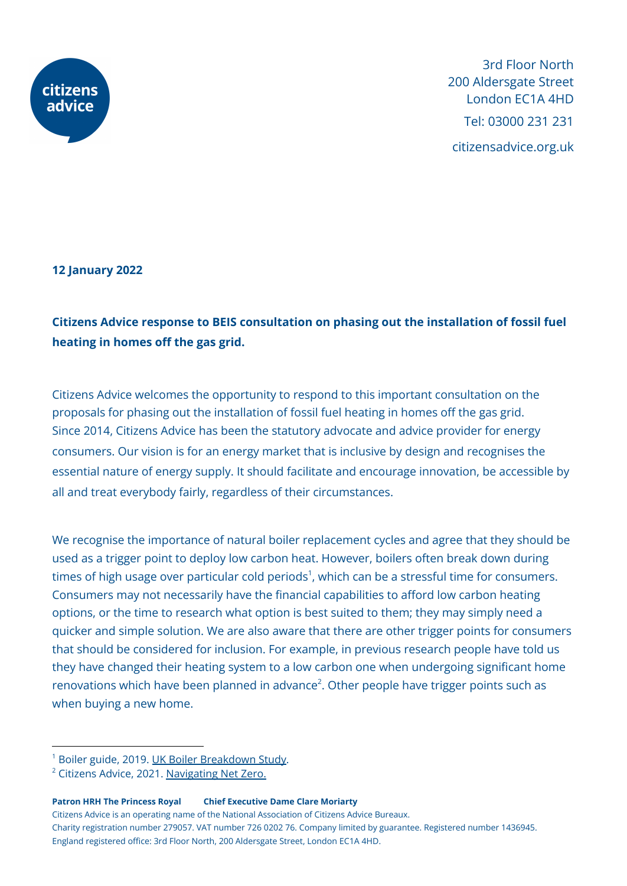

3rd Floor North 200 Aldersgate Street London EC1A 4HD Tel: 03000 231 231 citizensadvice.org.uk

**12 January 2022**

## **Citizens Advice response to BEIS consultation on phasing out the installation of fossil fuel heating in homes off the gas grid.**

Citizens Advice welcomes the opportunity to respond to this important consultation on the proposals for phasing out the installation of fossil fuel heating in homes off the gas grid. Since 2014, Citizens Advice has been the statutory advocate and advice provider for energy consumers. Our vision is for an energy market that is inclusive by design and recognises the essential nature of energy supply. It should facilitate and encourage innovation, be accessible by all and treat everybody fairly, regardless of their circumstances.

We recognise the importance of natural boiler replacement cycles and agree that they should be used as a trigger point to deploy low carbon heat. However, boilers often break down during times of high usage over particular cold periods $^1$ , which can be a stressful time for consumers. Consumers may not necessarily have the financial capabilities to afford low carbon heating options, or the time to research what option is best suited to them; they may simply need a quicker and simple solution. We are also aware that there are other trigger points for consumers that should be considered for inclusion. For example, in previous research people have told us they have changed their heating system to a low carbon one when undergoing significant home renovations which have been planned in advance<sup>2</sup>. Other people have trigger points such as when buying a new home.

**Patron HRH The Princess Royal Chief Executive Dame Clare Moriarty**

Citizens Advice is an operating name of the National Association of Citizens Advice Bureaux. Charity registration number 279057. VAT number 726 0202 76. Company limited by guarantee. Registered number 1436945. England registered office: 3rd Floor North, 200 Aldersgate Street, London EC1A 4HD.

<sup>&</sup>lt;sup>1</sup> Boiler guide, 2019. UK Boiler [Breakdown](https://www.boilerguide.co.uk/articles/uk-boiler-breakdown-study)) Study.

 $2$  Citizens Advice, 2021. [Navigating](https://www.citizensadvice.org.uk/Global/CitizensAdvice/Energy/Navigating%20net%20zero%20(2).pdf) Net Zero.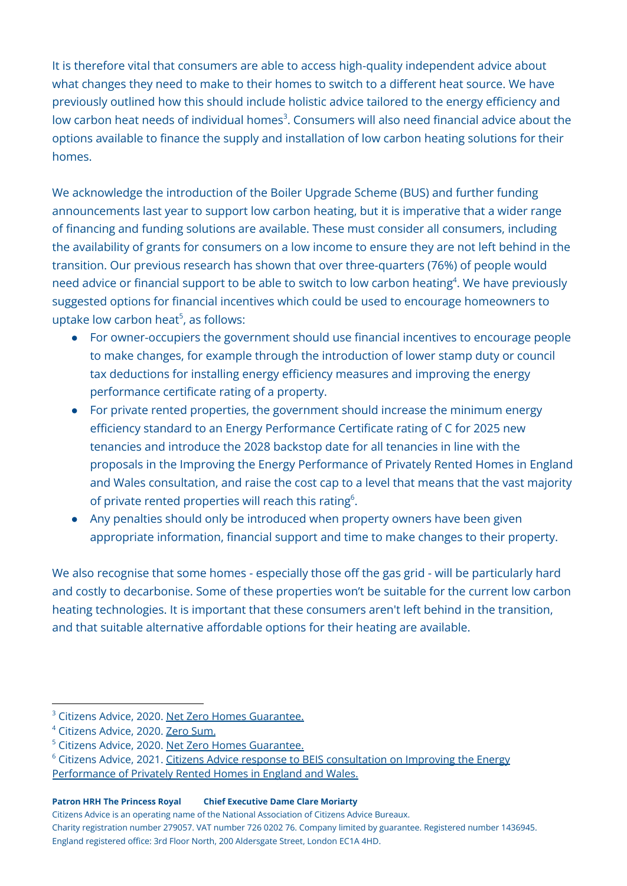It is therefore vital that consumers are able to access high-quality independent advice about what changes they need to make to their homes to switch to a different heat source. We have previously outlined how this should include holistic advice tailored to the energy efficiency and low carbon heat needs of individual homes<sup>3</sup>. Consumers will also need financial advice about the options available to finance the supply and installation of low carbon heating solutions for their homes.

We acknowledge the introduction of the Boiler Upgrade Scheme (BUS) and further funding announcements last year to support low carbon heating, but it is imperative that a wider range of financing and funding solutions are available. These must consider all consumers, including the availability of grants for consumers on a low income to ensure they are not left behind in the transition. Our previous research has shown that over three-quarters (76%) of people would need advice or financial support to be able to switch to low carbon heating<sup>4</sup>. We have previously suggested options for financial incentives which could be used to encourage homeowners to uptake low carbon heat 5 , as follows:

- For owner-occupiers the government should use financial incentives to encourage people to make changes, for example through the introduction of lower stamp duty or council tax deductions for installing energy efficiency measures and improving the energy performance certificate rating of a property.
- For private rented properties, the government should increase the minimum energy efficiency standard to an Energy Performance Certificate rating of C for 2025 new tenancies and introduce the 2028 backstop date for all tenancies in line with the proposals in the Improving the Energy Performance of Privately Rented Homes in England and Wales consultation, and raise the cost cap to a level that means that the vast majority of private rented properties will reach this rating<sup>6</sup>.
- Any penalties should only be introduced when property owners have been given appropriate information, financial support and time to make changes to their property.

We also recognise that some homes - especially those off the gas grid - will be particularly hard and costly to decarbonise. Some of these properties won't be suitable for the current low carbon heating technologies. It is important that these consumers aren't left behind in the transition, and that suitable alternative affordable options for their heating are available.

## **Patron HRH The Princess Royal Chief Executive Dame Clare Moriarty**

Citizens Advice is an operating name of the National Association of Citizens Advice Bureaux.

Charity registration number 279057. VAT number 726 0202 76. Company limited by guarantee. Registered number 1436945. England registered office: 3rd Floor North, 200 Aldersgate Street, London EC1A 4HD.

<sup>&</sup>lt;sup>3</sup> Citizens Advice, 2020. Net Zero Homes [Guarantee.](https://www.citizensadvice.org.uk/about-us/our-work/policy/policy-research-topics/energy-policy-research-and-consultation-responses/energy-policy-research/net-zero-homes-guarantee1/)

<sup>4</sup> Citizens Advice, 2020. Zero [Sum.](https://www.citizensadvice.org.uk/about-us/our-work/policy/policy-research-topics/energy-policy-research-and-consultation-responses/energy-policy-research/zero-sum/)

<sup>5</sup> Citizens Advice, 2020. Net Zero Homes [Guarantee.](https://www.citizensadvice.org.uk/about-us/our-work/policy/policy-research-topics/energy-policy-research-and-consultation-responses/energy-policy-research/net-zero-homes-guarantee1/)

<sup>&</sup>lt;sup>6</sup> Citizens Advice, 2021. Citizens Advice response to BEIS [consultation](https://www.citizensadvice.org.uk/about-us/our-work/policy/policy-research-topics/energy-policy-research-and-consultation-responses/energy-consultation-responses/citizens-advice-response-to-beis-consultation-on-improving-the-energy-performance-of-privately-rented-homes-in-england-and-wales/) on Improving the Energy [Performance](https://www.citizensadvice.org.uk/about-us/our-work/policy/policy-research-topics/energy-policy-research-and-consultation-responses/energy-consultation-responses/citizens-advice-response-to-beis-consultation-on-improving-the-energy-performance-of-privately-rented-homes-in-england-and-wales/) of Privately Rented Homes in England and Wales.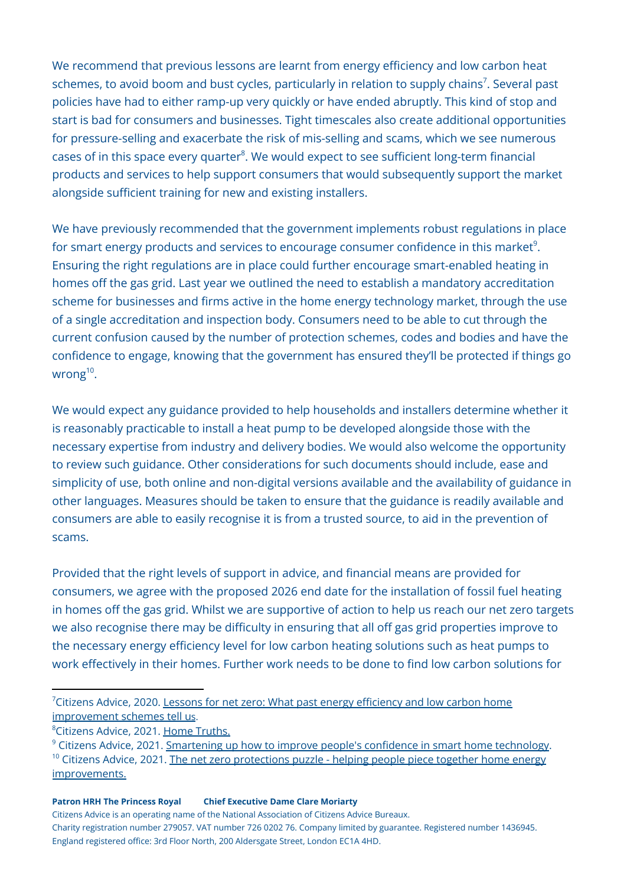We recommend that previous lessons are learnt from energy efficiency and low carbon heat schemes, to avoid boom and bust cycles, particularly in relation to supply chains<sup>7</sup>. Several past policies have had to either ramp-up very quickly or have ended abruptly. This kind of stop and start is bad for consumers and businesses. Tight timescales also create additional opportunities for pressure-selling and exacerbate the risk of mis-selling and scams, which we see numerous cases of in this space every quarter<sup>8</sup>. We would expect to see sufficient long-term financial products and services to help support consumers that would subsequently support the market alongside sufficient training for new and existing installers.

We have previously recommended that the government implements robust regulations in place for smart energy products and services to encourage consumer confidence in this market $^9$ . Ensuring the right regulations are in place could further encourage smart-enabled heating in homes off the gas grid. Last year we outlined the need to establish a mandatory accreditation scheme for businesses and firms active in the home energy technology market, through the use of a single accreditation and inspection body. Consumers need to be able to cut through the current confusion caused by the number of protection schemes, codes and bodies and have the confidence to engage, knowing that the government has ensured they'll be protected if things go wrong<sup>10</sup>.

We would expect any guidance provided to help households and installers determine whether it is reasonably practicable to install a heat pump to be developed alongside those with the necessary expertise from industry and delivery bodies. We would also welcome the opportunity to review such guidance. Other considerations for such documents should include, ease and simplicity of use, both online and non-digital versions available and the availability of guidance in other languages. Measures should be taken to ensure that the guidance is readily available and consumers are able to easily recognise it is from a trusted source, to aid in the prevention of scams.

Provided that the right levels of support in advice, and financial means are provided for consumers, we agree with the proposed 2026 end date for the installation of fossil fuel heating in homes off the gas grid. Whilst we are supportive of action to help us reach our net zero targets we also recognise there may be difficulty in ensuring that all off gas grid properties improve to the necessary energy efficiency level for low carbon heating solutions such as heat pumps to work effectively in their homes. Further work needs to be done to find low carbon solutions for

## **Patron HRH The Princess Royal Chief Executive Dame Clare Moriarty**

Citizens Advice is an operating name of the National Association of Citizens Advice Bureaux. Charity registration number 279057. VAT number 726 0202 76. Company limited by guarantee. Registered number 1436945. England registered office: 3rd Floor North, 200 Aldersgate Street, London EC1A 4HD.

 $7$ Citizens Advice, 2020. Lessons for net zero: What past energy [efficiency](https://www.citizensadvice.org.uk/about-us/our-work/policy/policy-research-topics/energy-policy-research-and-consultation-responses/energy-policy-research/lessons-for-net-zero-what-past-energy-efficiency-and-low-carbon-home-improvement-schemes-tell-us/) and low carbon home [improvement](https://www.citizensadvice.org.uk/about-us/our-work/policy/policy-research-topics/energy-policy-research-and-consultation-responses/energy-policy-research/lessons-for-net-zero-what-past-energy-efficiency-and-low-carbon-home-improvement-schemes-tell-us/) schemes tell us.

<sup>&</sup>lt;sup>8</sup>Citizens Advice, 2021. Home [Truths.](https://www.citizensadvice.org.uk/about-us/our-work/policy/policy-research-topics/energy-policy-research-and-consultation-responses/energy-policy-research/home-truths-the-challenge-and-experience-of-making-home-energy-improvements/)

<sup>&</sup>lt;sup>10</sup> Citizens Advice, 2021. The net zero [protections](https://www.citizensadvice.org.uk/about-us/our-work/policy/policy-research-topics/energy-policy-research-and-consultation-responses/energy-policy-research/the-net-zero-protections-puzzle-helping-people-piece-together-home-energy-improvements/) puzzle - helping people piece together home energy [improvements.](https://www.citizensadvice.org.uk/about-us/our-work/policy/policy-research-topics/energy-policy-research-and-consultation-responses/energy-policy-research/the-net-zero-protections-puzzle-helping-people-piece-together-home-energy-improvements/) <sup>9</sup> Citizens Advice, 2021. [Smartening](https://www.citizensadvice.org.uk/about-us/our-work/policy/policy-research-topics/energy-policy-research-and-consultation-responses/energy-policy-research/smartening-up-how-to-improve-peoples-confidence-in-smart-home-technology/) up how to improve people's confidence in smart home technology.